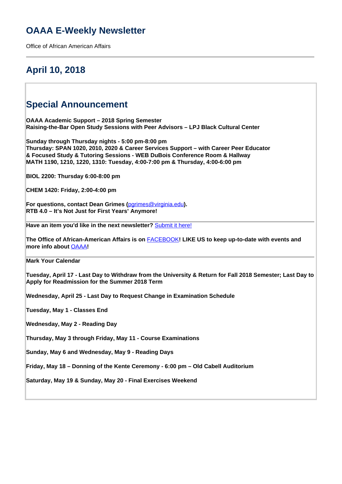## **OAAA E-Weekly Newsletter**

Office of African American Affairs

## **April 10, 2018**

### **Special Announcement**

**OAAA Academic Support – 2018 Spring Semester Raising-the-Bar Open Study Sessions with Peer Advisors – LPJ Black Cultural Center**

**Sunday through Thursday nights - 5:00 pm-8:00 pm Thursday: SPAN 1020, 2010, 2020 & Career Services Support – with Career Peer Educator & Focused Study & Tutoring Sessions - WEB DuBois Conference Room & Hallway MATH 1190, 1210, 1220, 1310: Tuesday, 4:00-7:00 pm & Thursday, 4:00-6:00 pm** 

**BIOL 2200: Thursday 6:00-8:00 pm**

**CHEM 1420: Friday, 2:00-4:00 pm**

**For questions, contact Dean Grimes (**[pgrimes@virginia.edu](mailto:pgrimes@virginia.edu)**). RTB 4.0 – It's Not Just for First Years' Anymore!**

**Have an item you'd like in the next newsletter?** Submit it here!

**The Office of African-American Affairs is on** FACEBOOK**! LIKE US to keep up-to-date with events and more info about** OAAA**!**

**Mark Your Calendar**

**Tuesday, April 17 - Last Day to Withdraw from the University & Return for Fall 2018 Semester; Last Day to Apply for Readmission for the Summer 2018 Term** 

**Wednesday, April 25 - Last Day to Request Change in Examination Schedule**

**Tuesday, May 1 - Classes End**

**Wednesday, May 2 - Reading Day**

**Thursday, May 3 through Friday, May 11 - Course Examinations**

**Sunday, May 6 and Wednesday, May 9 - Reading Days**

**Friday, May 18 – Donning of the Kente Ceremony - 6:00 pm – Old Cabell Auditorium**

**Saturday, May 19 & Sunday, May 20 - Final Exercises Weekend**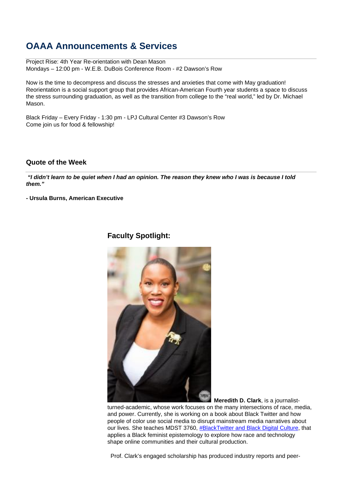## **OAAA Announcements & Services**

Project Rise: 4th Year Re-orientation with Dean Mason Mondays – 12:00 pm - W.E.B. DuBois Conference Room - #2 Dawson's Row

Now is the time to decompress and discuss the stresses and anxieties that come with May graduation! Reorientation is a social support group that provides African-American Fourth year students a space to discuss the stress surrounding graduation, as well as the transition from college to the "real world," led by Dr. Michael Mason.

Black Friday – Every Friday - 1:30 pm - LPJ Cultural Center #3 Dawson's Row Come join us for food & fellowship!

### **Quote of the Week**

 **"I didn't learn to be quiet when I had an opinion. The reason they knew who I was is because I told them."**

**- Ursula Burns, American Executive**

### **Faculty Spotlight:**



 **Meredith D. Clark**, is a journalistturned-academic, whose work focuses on the many intersections of race, media,

and power. Currently, she is working on a book about Black Twitter and how people of color use social media to disrupt mainstream media narratives about our lives. She teaches MDST 3760, #BlackTwitter and Black Digital Culture, that applies a Black feminist epistemology to explore how race and technology shape online communities and their cultural production.

Prof. Clark's engaged scholarship has produced industry reports and peer-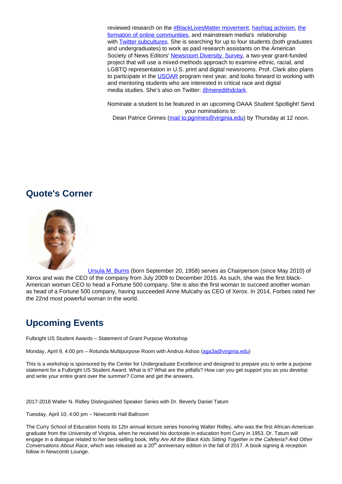reviewed research on the #BlackLivesMatter movement, hashtag activism, the formation of online communities, and mainstream media's relationship with Twitter subcultures. She is searching for up to four students (both graduates and undergraduates) to work as paid research assistants on the American Society of News Editors' Newsroom Diversity Survey, a two-year grant-funded project that will use a mixed-methods approach to examine ethnic, racial, and LGBTQ representation in U.S. print and digital newsrooms. Prof. Clark also plans to participate in the USOAR program next year, and looks forward to working with and mentoring students who are interested in critical race and digital media studies. She's also on Twitter: @meredithdclark.

Nominate a student to be featured in an upcoming OAAA Student Spotlight! Send your nominations to: Dean Patrice Grimes (mail to:pgrimes@virginia.edu) by Thursday at 12 noon.

### **Quote's Corner**



Ursula M. Burns (born September 20, 1958) serves as Chairperson (since May 2010) of Xerox and was the CEO of the company from July 2009 to December 2016. As such, she was the first black-American woman CEO to head a Fortune 500 company. She is also the first woman to succeed another woman as head of a Fortune 500 company, having succeeded Anne Mulcahy as CEO of Xerox. In 2014, Forbes rated her the 22nd most powerful woman in the world.

# **Upcoming Events**

Fulbright US Student Awards – Statement of Grant Purpose Workshop

Monday, April 9, 4:00 pm - Rotunda Multipurpose Room with Andrus Ashoo (aga3a@virginia.edu)

This is a workshop is sponsored by the Center for Undergraduate Excellence and designed to prepare you to write a purpose statement for a Fulbright US Student Award. What is it? What are the pitfalls? How can you get support you as you develop and write your entire grant over the summer? Come and get the answers.

2017-2018 Walter N. Ridley Distinguished Speaker Series with Dr. Beverly Daniel Tatum

Tuesday, April 10, 4:00 pm – Newcomb Hall Ballroom

The Curry School of Education hosts its 12tn annual lecture series honoring Walter Ridley, who was the first African-American graduate from the University of Virginia, when he received his doctorate in education from Curry in 1953. Dr. Tatum will engage in a dialogue related to her best-selling book, Why Are All the Black Kids Sitting Together in the Cafeteria? And Other Conversations About Race, which was released as a 20<sup>th</sup> anniversary edition in the fall of 2017. A book signing & reception follow in Newcomb Lounge.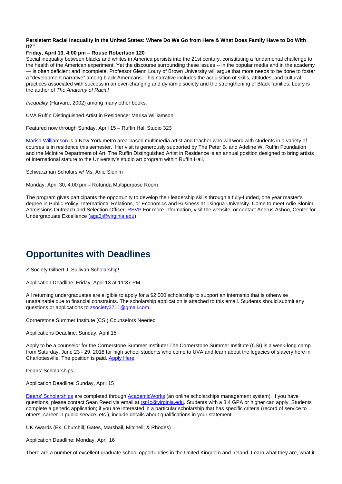### **Persistent Racial Inequality in the United States: Where Do We Go from Here & What Does Family Have to Do With It?"**

### **Friday, April 13, 4:00 pm – Rouse Robertson 120**

Social inequality between blacks and whites in America persists into the 21st century, constituting a fundamental challenge to the health of the American experiment. Yet the discourse surrounding these issues -- in the popular media and in the academy — is often deficient and incomplete, Professor Glenn Loury of Brown University will argue that more needs to be done to foster a "development narrative" among black Americans. This narrative includes the acquisition of skills, attitudes, and cultural practices associated with success in an ever-changing and dynamic society and the strengthening of Black families. Loury is the author of The Anatomy of Racial

Inequality (Harvard, 2002) among many other books.

UVA Ruffin Distinguished Artist in Residence: Marisa Williamson

Featured now through Sunday, April 15 – Ruffin Hall Studio 323

Marisa Williamson is a New York metro area-based multimedia artist and teacher who will work with students in a variety of courses is in residence this semester. Her visit is generously supported by The Peter B. and Adeline W. Ruffin Foundation and the McIntire Department of Art. The Ruffin Distinguished Artist in Residence is an annual position designed to bring artists of international stature to the University's studio art program within Ruffin Hall.

Schwarzman Scholars w/ Ms. Arlie Slonim

Monday, April 30, 4:00 pm – Rotunda Multipurpose Room

The program gives participants the opportunity to develop their leadership skills through a fully-funded, one year master's degree in Public Policy, International Relations, or Economics and Business at Tsingua University. Come to meet Arlie Slonim, Admissions Outreach and Selection Officer. RSVP For more information, visit the website, or contact Andrus Ashoo, Center for Undergraduate Excellence (aga3j@virginia.edu)

## **Opportunites with Deadlines**

Z Society Gilbert J. Sullivan Scholarship!

Application Deadline: Friday, April 13 at 11:37 PM

All returning undergraduates are eligible to apply for a \$2,000 scholarship to support an internship that is otherwise unattainable due to financial constraints. The scholarship application is attached to this email. Students should submit any questions or applications to zsociety3711@gmail.com.

Cornerstone Summer Institute (CSI) Counselors Needed

Applications Deadline: Sunday, April 15

Apply to be a counselor for the Cornerstone Summer Institute! The Cornerstone Summer Institute (CSI) is a week-long camp from Saturday, June 23 - 29, 2018 for high school students who come to UVA and learn about the legacies of slavery here in Charlottesville. The position is paid. Apply Here.

Deans' Scholarships

Application Deadline: Sunday, April 15

Deans' Scholarships are completed through AcademicWorks (an online scholarships management system). If you have questions, please contact Sean Reed via email at rsr4c@virginia.edu. Students with a 3.4 GPA or higher can apply. Students complete a generic application; if you are interested in a particular scholarship that has specific criteria (record of service to others, career in public service, etc.), include details about qualifications in your statement.

UK Awards (Ex. Churchill, Gates, Marshall, Mitchell, & Rhodes)

Application Deadline: Monday, April 16

There are a number of excellent graduate school opportunities in the United Kingdom and Ireland. Learn what they are, what it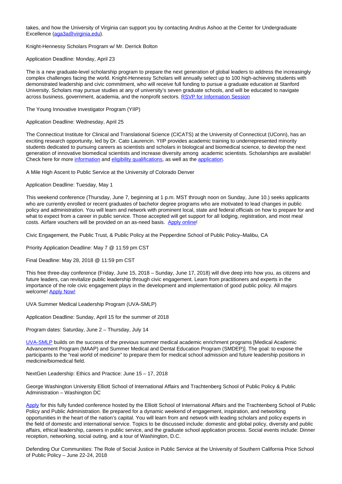takes, and how the University of Virginia can support you by contacting Andrus Ashoo at the Center for Undergraduate Excellence (aga3a@virginia.edu).

Knight-Hennessy Scholars Program w/ Mr. Derrick Bolton

Application Deadline: Monday, April 23

The is a new graduate-level scholarship program to prepare the next generation of global leaders to address the increasingly complex challenges facing the world. Knight-Hennessy Scholars will annually select up to 100 high-achieving students with demonstrated leadership and civic commitment, who will receive full funding to pursue a graduate education at Stanford University. Scholars may pursue studies at any of university's seven graduate schools, and will be educated to navigate across business, government, academia, and the nonprofit sectors. RSVP for Information Session

The Young Innovative Investigator Program (YIIP)

Application Deadline: Wednesday, April 25

The Connecticut Institute for Clinical and Translational Science (CICATS) at the University of Connecticut (UConn), has an exciting research opportunity, led by Dr. Cato Laurencin. YIIP provides academic training to underrepresented minority students dedicated to pursuing careers as scientists and scholars in biological and biomedical science, to develop the next generation of innovative biomedical scientists and increase diversity among academic scientists. Scholarships are available! Check here for more information and eligibility qualifications, as well as the application.

A Mile High Ascent to Public Service at the University of Colorado Denver

Application Deadline: Tuesday, May 1

This weekend conference (Thursday, June 7, beginning at 1 p.m. MST through noon on Sunday, June 10.) seeks applicants who are currently enrolled or recent graduates of bachelor degree programs who are motivated to lead changes in public policy and administration. You will learn and network with prominent local, state and federal officials on how to prepare for and what to expect from a career in public service. Those accepted will get support for all lodging, registration, and most meal costs. Airfare vouchers will be provided on an as-need basis. Apply online!

Civic Engagement, the Public Trust, & Public Policy at the Pepperdine School of Public Policy–Malibu, CA

Priority Application Deadline: May 7 @ 11:59 pm CST

Final Deadline: May 28, 2018 @ 11:59 pm CST

This free three-day conference (Friday, June 15, 2018 – Sunday, June 17, 2018) will dive deep into how you, as citizens and future leaders, can revitalize public leadership through civic engagement. Learn from practitioners and experts in the importance of the role civic engagement plays in the development and implementation of good public policy. All majors welcome! Apply Now!

UVA Summer Medical Leadership Program (UVA-SMLP)

Application Deadline: Sunday, April 15 for the summer of 2018

Program dates: Saturday, June 2 – Thursday, July 14

UVA-SMLP builds on the success of the previous summer medical academic enrichment programs [Medical Academic Advancement Program (MAAP) and Summer Medical and Dental Education Program (SMDEP)]. The goal: to expose the participants to the "real world of medicine" to prepare them for medical school admission and future leadership positions in medicine/biomedical field.

NextGen Leadership: Ethics and Practice: June 15 – 17, 2018

George Washington University Elliott School of International Affairs and Trachtenberg School of Public Policy & Public Administration – Washington DC

Apply for this fully funded conference hosted by the Elliott School of International Affairs and the Trachtenberg School of Public Policy and Public Administration. Be prepared for a dynamic weekend of engagement, inspiration, and networking opportunities in the heart of the nation's capital. You will learn from and network with leading scholars and policy experts in the field of domestic and international service. Topics to be discussed include: domestic and global policy, diversity and public affairs, ethical leadership, careers in public service, and the graduate school application process. Social events include: Dinner reception, networking, social outing, and a tour of Washington, D.C.

Defending Our Communities: The Role of Social Justice in Public Service at the University of Southern California Price School of Public Policy – June 22-24, 2018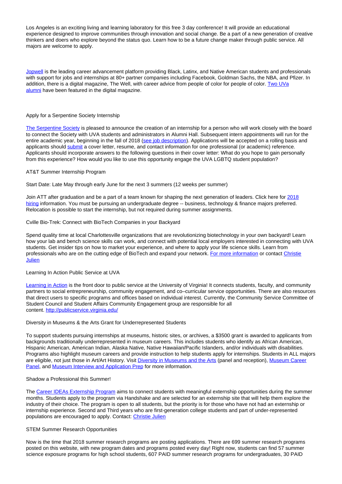Los Angeles is an exciting living and learning laboratory for this free 3 day conference! It will provide an educational experience designed to improve communities through innovation and social change. Be a part of a new generation of creative thinkers and doers who explore beyond the status quo. Learn how to be a future change maker through public service. All majors are welcome to apply.

Jopwell is the leading career advancement platform providing Black, Latinx, and Native American students and professionals with support for jobs and internships at 80+ partner companies including Facebook, Goldman Sachs, the NBA, and Pfizer. In addition, there is a digital magazine, The Well, with career advice from people of color for people of color. Two UVa alumni have been featured in the digital magazine.

#### Apply for a Serpentine Society Internship

The Serpentine Society is pleased to announce the creation of an internship for a person who will work closely with the board to connect the Society with UVA students and administrators in Alumni Hall. Subsequent intern appointments will run for the entire academic year, beginning in the fall of 2018 (see job description). Applications will be accepted on a rolling basis and applicants should submit a cover letter, resume, and contact information for one professional (or academic) reference. Applicants should incorporate answers to the following questions in their cover letter: What do you hope to gain personally from this experience? How would you like to use this opportunity engage the UVA LGBTQ student population?

#### AT&T Summer Internship Program

Start Date: Late May through early June for the next 3 summers (12 weeks per summer)

Join ATT after graduation and be a part of a team known for shaping the next generation of leaders. Click here for 2018 hiring information. You must be pursuing an undergraduate degree -- business, technology & finance majors preferred. Relocation is possible to start the internship, but not required during summer assignments.

#### Cville Bio-Trek: Connect with BioTech Companies in your Backyard

Spend quality time at local Charlottesville organizations that are revolutionizing biotechnology in your own backyard! Learn how your lab and bench science skills can work, and connect with potential local employers interested in connecting with UVA students. Get insider tips on how to market your experience, and where to apply your life science skills. Learn from professionals who are on the cutting edge of BioTech and expand your network. For more information or contact Christie Julien

### Learning In Action Public Service at UVA

Learning in Action is the front door to public service at the University of Virginia! It connects students, faculty, and community partners to social entrepreneurship, community engagement, and co–curricular service opportunities. There are also resources that direct users to specific programs and offices based on individual interest. Currently, the Community Service Committee of Student Council and Student Affairs Community Engagement group are responsible for all content. http://publicservice.virginia.edu/

#### Diversity in Museums & the Arts Grant for Underrepresented Students

To support students pursuing internships at museums, historic sites, or archives, a \$3500 grant is awarded to applicants from backgrounds traditionally underrepresented in museum careers. This includes students who identify as African American, Hispanic American, American Indian, Alaska Native, Native Hawaiian/Pacific Islanders, and/or individuals with disabilities. Programs also highlight museum careers and provide instruction to help students apply for internships. Students in ALL majors are eligible, not just those in Art/Art History. Visit Diversity in Museums and the Arts (panel and reception), Museum Career Panel, and Museum Interview and Application Prep for more information.

#### Shadow a Professional this Summer!

The Career IDEAs Externship Program aims to connect students with meaningful externship opportunities during the summer months. Students apply to the program via Handshake and are selected for an externship site that will help them explore the industry of their choice. The program is open to all students, but the priority is for those who have not had an externship or internship experience. Second and Third years who are first-generation college students and part of under-represented populations are encouraged to apply. Contact: Christie Julien

#### STEM Summer Research Opportunities

Now is the time that 2018 summer research programs are posting applications. There are 699 summer research programs posted on this website, with new program dates and programs posted every day! Right now, students can find 57 summer science exposure programs for high school students, 607 PAID summer research programs for undergraduates, 30 PAID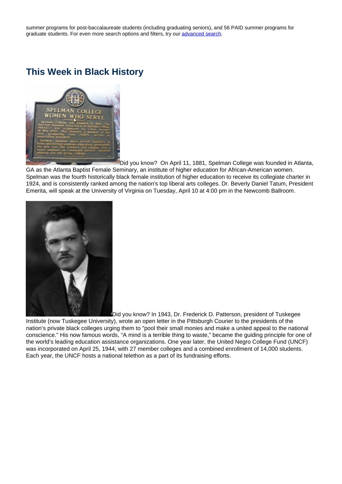summer programs for post-baccalaureate students (including graduating seniors), and 56 PAID summer programs for graduate students. For even more search options and filters, try our advanced search.

### **This Week in Black History**



Did you know? On April 11, 1881, Spelman College was founded in Atlanta, GA as the Atlanta Baptist Female Seminary, an institute of higher education for African-American women. Spelman was the fourth historically black female institution of higher education to receive its collegiate charter in 1924, and is consistently ranked among the nation's top liberal arts colleges. Dr. Beverly Daniel Tatum, President Emerita, will speak at the University of Virginia on Tuesday, April 10 at 4:00 pm in the Newcomb Ballroom.



Did you know? In 1943, Dr. Frederick D. Patterson, president of Tuskegee Institute (now Tuskegee University), wrote an open letter in the Pittsburgh Courier to the presidents of the nation's private black colleges urging them to "pool their small monies and make a united appeal to the national conscience." His now famous words, "A mind is a terrible thing to waste," became the guiding principle for one of the world's leading education assistance organizations. One year later, the United Negro College Fund (UNCF) was incorporated on April 25, 1944, with 27 member colleges and a combined enrollment of 14,000 students. Each year, the UNCF hosts a national telethon as a part of its fundraising efforts.